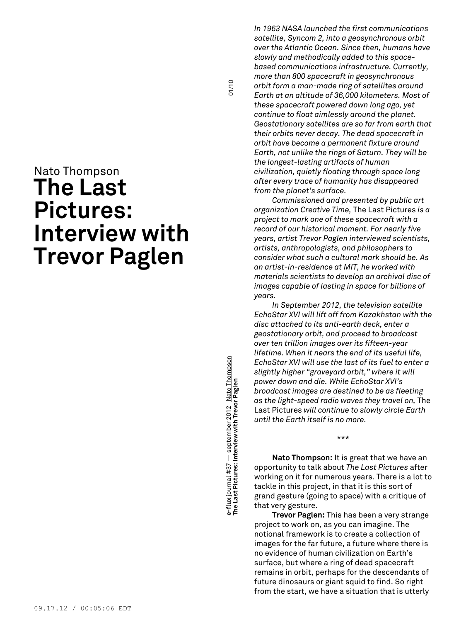## Nato Thompson **The Last Pictures: Interview with Trevor Paglen**

**with Trevor Paglen** 01/10 **e-flux** journal #37 — september 2012 Nato Thompson e-flux journal #37 — september 2012 <u>. Nato Thompsor</u><br>The Last Pictures: Interview with Trevor Paglen **The Last Pictures: Interview**

01/10

*In 1963 NASA launched the first communications satellite, Syncom 2, into a geosynchronous orbit over the Atlantic Ocean. Since then, humans have slowly and methodically added to this spacebased communications infrastructure. Currently, more than 800 spacecraft in geosynchronous orbit form a man-made ring of satellites around Earth at an altitude of 36,000 kilometers. Most of these spacecraft powered down long ago, yet continue to float aimlessly around the planet. Geostationary satellites are so far from earth that their orbits never decay. The dead spacecraft in orbit have become a permanent fixture around Earth, not unlike the rings of Saturn. They will be the longest-lasting artifacts of human civilization, quietly floating through space long after every trace of humanity has disappeared from the planet's surface.*

*Commissioned and presented by public art organization Creative Time,* The Last Pictures *is a project to mark one of these spacecraft with a record of our historical moment. For nearly five years, artist Trevor Paglen interviewed scientists, artists, anthropologists, and philosophers to consider what such a cultural mark should be. As an artist-in-residence at MIT, he worked with materials scientists to develop an archival disc of images capable of lasting in space for billions of years.*

*In September 2012, the television satellite EchoStar XVI will lift off from Kazakhstan with the disc attached to its anti-earth deck, enter a geostationary orbit, and proceed to broadcast over ten trillion images over its fifteen-year lifetime. When it nears the end of its useful life, EchoStar XVI will use the last of its fuel to enter a slightly higher "graveyard orbit," where it will power down and die. While EchoStar XVI's broadcast images are destined to be as fleeting as the light-speed radio waves they travel on,* The Last Pictures *will continue to slowly circle Earth until the Earth itself is no more.*

\*\*\*

**Nato Thompson:** It is great that we have an opportunity to talk about *The Last Pictures* after working on it for numerous years. There is a lot to tackle in this project, in that it is this sort of grand gesture (going to space) with a critique of that very gesture.

**Trevor Paglen:** This has been a very strange project to work on, as you can imagine. The notional framework is to create a collection of images for the far future, a future where there is no evidence of human civilization on Earth's surface, but where a ring of dead spacecraft remains in orbit, perhaps for the descendants of future dinosaurs or giant squid to find. So right from the start, we have a situation that is utterly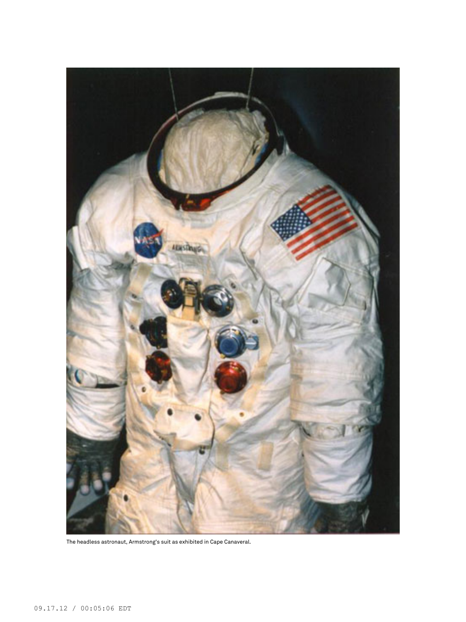

The headless astronaut, Armstrong's suit as exhibited in Cape Canaveral.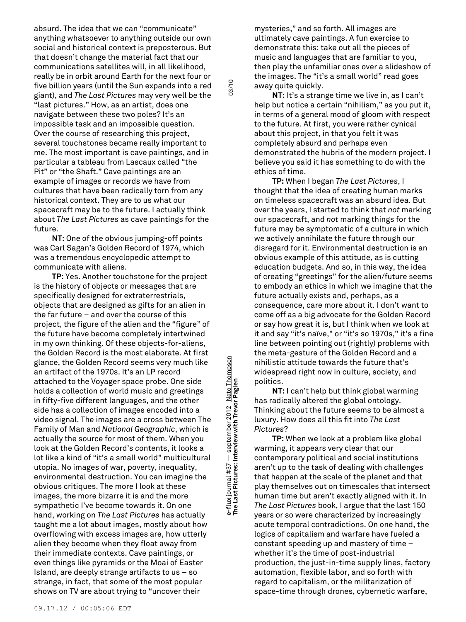absurd. The idea that we can "communicate" anything whatsoever to anything outside our own social and historical context is preposterous. But that doesn't change the material fact that our communications satellites will, in all likelihood, really be in orbit around Earth for the next four or five billion years (until the Sun expands into a red giant), and *The Last Pictures* may very well be the "last pictures." How, as an artist, does one navigate between these two poles? It's an impossible task and an impossible question. Over the course of researching this project, several touchstones became really important to me. The most important is cave paintings, and in particular a tableau from Lascaux called "the Pit" or "the Shaft." Cave paintings are an example of images or records we have from cultures that have been radically torn from any historical context. They are to us what our spacecraft may be to the future. I actually think about *The Last Pictures* as cave paintings for the future.

**NT:** One of the obvious jumping-off points was Carl Sagan's Golden Record of 1974, which was a tremendous encyclopedic attempt to communicate with aliens.

**TP:** Yes. Another touchstone for the project is the history of objects or messages that are specifically designed for extraterrestrials, objects that are designed as gifts for an alien in the far future – and over the course of this project, the figure of the alien and the "figure" of the future have become completely intertwined in my own thinking. Of these objects-for-aliens, the Golden Record is the most elaborate. At first glance, the Golden Record seems very much like an artifact of the 1970s. It's an LP record attached to the Voyager space probe. One side holds a collection of world music and greetings in fifty-five different languages, and the other side has a collection of images encoded into a video signal. The images are a cross between The Family of Man and *National Geographic*, which is actually the source for most of them. When you look at the Golden Record's contents, it looks a lot like a kind of "it's a small world" multicultural utopia. No images of war, poverty, inequality, environmental destruction. You can imagine the obvious critiques. The more I look at these images, the more bizarre it is and the more sympathetic I've become towards it. On one hand, working on *The Last Pictures* has actually taught me a lot about images, mostly about how overflowing with excess images are, how utterly alien they become when they float away from their immediate contexts. Cave paintings, or even things like pyramids or the Moai of Easter Island, are deeply strange artifacts to us – so strange, in fact, that some of the most popular shows on TV are about trying to "uncover their

**with Trevor Paglen** 03/10 e-flux journal #37 — september 2012 Nato Thompson<br>The Last Pictures: Interview with Trevor Paglen **e-flux** journal #37 — september 2012 Nato Thompson **The Last Pictures: Interview**

03/10

mysteries," and so forth. All images are ultimately cave paintings. A fun exercise to demonstrate this: take out all the pieces of music and languages that are familiar to you, then play the unfamiliar ones over a slideshow of the images. The "it's a small world" read goes away quite quickly.

**NT:** It's a strange time we live in, as I can't help but notice a certain "nihilism," as you put it, in terms of a general mood of gloom with respect to the future. At first, you were rather cynical about this project, in that you felt it was completely absurd and perhaps even demonstrated the hubris of the modern project. I believe you said it has something to do with the ethics of time.

**TP:** When I began *The Last Pictures*, I thought that the idea of creating human marks on timeless spacecraft was an absurd idea. But over the years, I started to think that *not* marking our spacecraft, and *not* marking things for the future may be symptomatic of a culture in which we actively annihilate the future through our disregard for it. Environmental destruction is an obvious example of this attitude, as is cutting education budgets. And so, in this way, the idea of creating "greetings" for the alien/future seems to embody an ethics in which we imagine that the future actually exists and, perhaps, as a consequence, care more about it. I don't want to come off as a big advocate for the Golden Record or say how great it is, but I think when we look at it and say "it's naïve," or "it's so 1970s," it's a fine line between pointing out (rightly) problems with the meta-gesture of the Golden Record and a nihilistic attitude towards the future that's widespread right now in culture, society, and politics.

**NT:** I can't help but think global warming has radically altered the global ontology. Thinking about the future seems to be almost a luxury. How does all this fit into *The Last Pictures*?

**TP:** When we look at a problem like global warming, it appears very clear that our contemporary political and social institutions aren't up to the task of dealing with challenges that happen at the scale of the planet and that play themselves out on timescales that intersect human time but aren't exactly aligned with it. In *The Last Pictures* book, I argue that the last 150 years or so were characterized by increasingly acute temporal contradictions. On one hand, the logics of capitalism and warfare have fueled a constant speeding up and mastery of time – whether it's the time of post-industrial production, the just-in-time supply lines, factory automation, flexible labor, and so forth with regard to capitalism, or the militarization of space-time through drones, cybernetic warfare,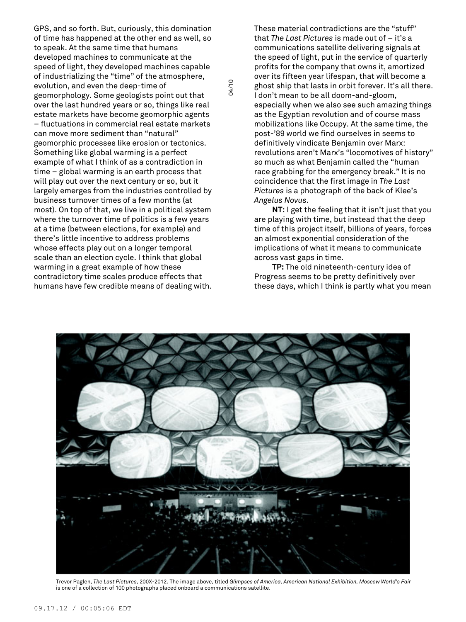GPS, and so forth. But, curiously, this domination of time has happened at the other end as well, so to speak. At the same time that humans developed machines to communicate at the speed of light, they developed machines capable of industrializing the "time" of the atmosphere, evolution, and even the deep-time of geomorphology. Some geologists point out that over the last hundred years or so, things like real estate markets have become geomorphic agents – fluctuations in commercial real estate markets can move more sediment than "natural" geomorphic processes like erosion or tectonics. Something like global warming is a perfect example of what I think of as a contradiction in time – global warming is an earth process that will play out over the next century or so, but it largely emerges from the industries controlled by business turnover times of a few months (at most). On top of that, we live in a political system where the turnover time of politics is a few years at a time (between elections, for example) and there's little incentive to address problems whose effects play out on a longer temporal scale than an election cycle. I think that global warming in a great example of how these contradictory time scales produce effects that humans have few credible means of dealing with.

These material contradictions are the "stuff" that *The Last Pictures* is made out of – it's a communications satellite delivering signals at the speed of light, put in the service of quarterly profits for the company that owns it, amortized over its fifteen year lifespan, that will become a ghost ship that lasts in orbit forever. It's all there. I don't mean to be all doom-and-gloom, especially when we also see such amazing things as the Egyptian revolution and of course mass mobilizations like Occupy. At the same time, the post-'89 world we find ourselves in seems to definitively vindicate Benjamin over Marx: revolutions aren't Marx's "locomotives of history" so much as what Benjamin called the "human race grabbing for the emergency break." It is no coincidence that the first image in *The Last Pictures* is a photograph of the back of Klee's *Angelus Novus*.

**NT:** I get the feeling that it isn't just that you are playing with time, but instead that the deep time of this project itself, billions of years, forces an almost exponential consideration of the implications of what it means to communicate across vast gaps in time.

**TP:** The old nineteenth-century idea of Progress seems to be pretty definitively over these days, which I think is partly what you mean



Trevor Paglen, *The Last Pictures*, 200X-2012. The image above, titled *Glimpses of America, American National Exhibition, Moscow World's Fair* is one of a collection of 100 photographs placed onboard a communications satellite.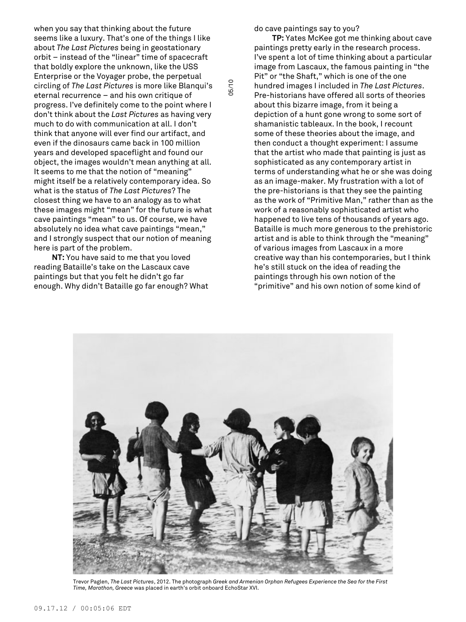when you say that thinking about the future seems like a luxury. That's one of the things I like about *The Last Pictures* being in geostationary orbit – instead of the "linear" time of spacecraft that boldly explore the unknown, like the USS Enterprise or the Voyager probe, the perpetual circling of *The Last Pictures* is more like Blanqui's eternal recurrence – and his own critique of progress. I've definitely come to the point where I don't think about the *Last Pictures* as having very much to do with communication at all. I don't think that anyone will ever find our artifact, and even if the dinosaurs came back in 100 million years and developed spaceflight and found our object, the images wouldn't mean anything at all. It seems to me that the notion of "meaning" might itself be a relatively contemporary idea. So what is the status of *The Last Pictures*? The closest thing we have to an analogy as to what these images might "mean" for the future is what cave paintings "mean" to us. Of course, we have absolutely no idea what cave paintings "mean," and I strongly suspect that our notion of meaning here is part of the problem.

**NT:** You have said to me that you loved reading Bataille's take on the Lascaux cave paintings but that you felt he didn't go far enough. Why didn't Bataille go far enough? What do cave paintings say to you?

**TP:** Yates McKee got me thinking about cave paintings pretty early in the research process. I've spent a lot of time thinking about a particular image from Lascaux, the famous painting in "the Pit" or "the Shaft," which is one of the one hundred images I included in *The Last Pictures*. Pre-historians have offered all sorts of theories about this bizarre image, from it being a depiction of a hunt gone wrong to some sort of shamanistic tableaux. In the book, I recount some of these theories about the image, and then conduct a thought experiment: I assume that the artist who made that painting is just as sophisticated as any contemporary artist in terms of understanding what he or she was doing as an image-maker. My frustration with a lot of the pre-historians is that they see the painting as the work of "Primitive Man," rather than as the work of a reasonably sophisticated artist who happened to live tens of thousands of years ago. Bataille is much more generous to the prehistoric artist and is able to think through the "meaning" of various images from Lascaux in a more creative way than his contemporaries, but I think he's still stuck on the idea of reading the paintings through his own notion of the "primitive" and his own notion of some kind of



Trevor Paglen, *The Last Pictures*, 2012. The photograph *Greek and Armenian Orphan Refugees Experience the Sea for the First Time, Marathon, Greece* was placed in earth's orbit onboard EchoStar XVI.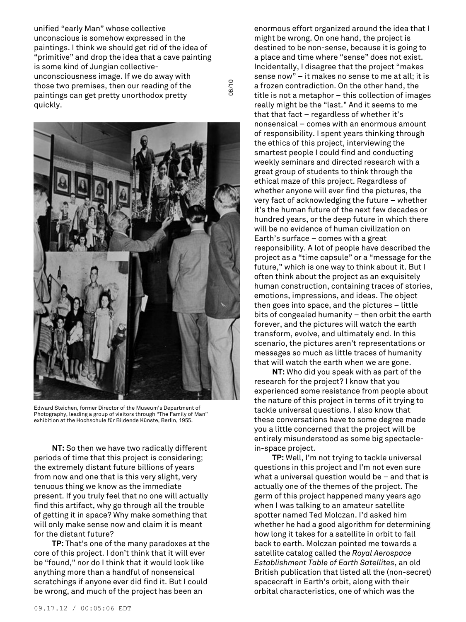unified "early Man" whose collective unconscious is somehow expressed in the paintings. I think we should get rid of the idea of "primitive" and drop the idea that a cave painting is some kind of Jungian collectiveunconsciousness image. If we do away with those two premises, then our reading of the paintings can get pretty unorthodox pretty quickly.

06/10



Edward Steichen, former Director of the Museum's Department of Photography, leading a group of visitors through "The Family of Man" exhibition at the Hochschule für Bildende Künste, Berlin, 1955.

**NT:** So then we have two radically different periods of time that this project is considering; the extremely distant future billions of years from now and one that is this very slight, very tenuous thing we know as the immediate present. If you truly feel that no one will actually find this artifact, why go through all the trouble of getting it in space? Why make something that will only make sense now and claim it is meant for the distant future?

**TP:** That's one of the many paradoxes at the core of this project. I don't think that it will ever be "found," nor do I think that it would look like anything more than a handful of nonsensical scratchings if anyone ever did find it. But I could be wrong, and much of the project has been an

enormous effort organized around the idea that I might be wrong. On one hand, the project is destined to be non-sense, because it is going to a place and time where "sense" does not exist. Incidentally, I disagree that the project "makes sense now" – it makes no sense to me at all; it is a frozen contradiction. On the other hand, the title is not a metaphor – this collection of images really might be the "last." And it seems to me that that fact – regardless of whether it's nonsensical – comes with an enormous amount of responsibility. I spent years thinking through the ethics of this project, interviewing the smartest people I could find and conducting weekly seminars and directed research with a great group of students to think through the ethical maze of this project. Regardless of whether anyone will ever find the pictures, the very fact of acknowledging the future – whether it's the human future of the next few decades or hundred years, or the deep future in which there will be no evidence of human civilization on Earth's surface – comes with a great responsibility. A lot of people have described the project as a "time capsule" or a "message for the future," which is one way to think about it. But I often think about the project as an exquisitely human construction, containing traces of stories, emotions, impressions, and ideas. The object then goes into space, and the pictures – little bits of congealed humanity – then orbit the earth forever, and the pictures will watch the earth transform, evolve, and ultimately end. In this scenario, the pictures aren't representations or messages so much as little traces of humanity that will watch the earth when we are gone.

**NT:** Who did you speak with as part of the research for the project? I know that you experienced some resistance from people about the nature of this project in terms of it trying to tackle universal questions. I also know that these conversations have to some degree made you a little concerned that the project will be entirely misunderstood as some big spectaclein-space project.

**TP:** Well, I'm not trying to tackle universal questions in this project and I'm not even sure what a universal question would be – and that is actually one of the themes of the project. The germ of this project happened many years ago when I was talking to an amateur satellite spotter named Ted Molczan. I'd asked him whether he had a good algorithm for determining how long it takes for a satellite in orbit to fall back to earth. Molczan pointed me towards a satellite catalog called the *Royal Aerospace Establishment Table of Earth Satellites*, an old British publication that listed all the (non-secret) spacecraft in Earth's orbit, along with their orbital characteristics, one of which was the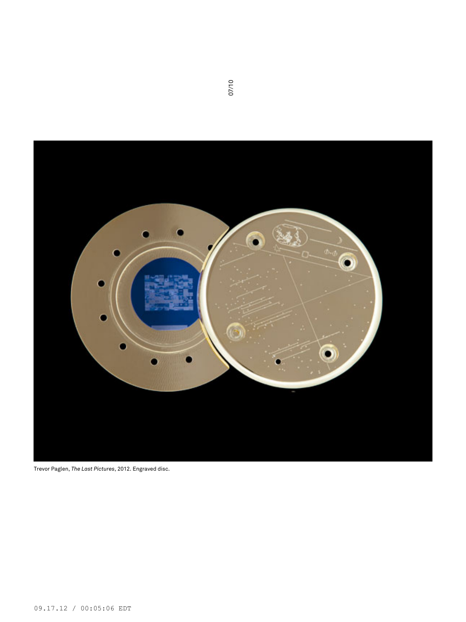

Trevor Paglen, *The Last Pictures*, 2012. Engraved disc.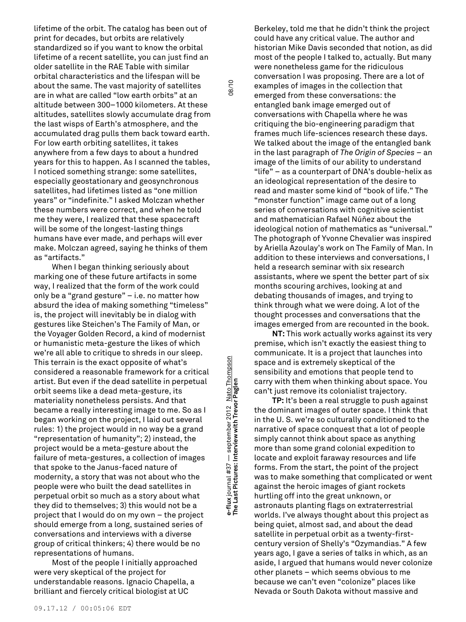lifetime of the orbit. The catalog has been out of print for decades, but orbits are relatively standardized so if you want to know the orbital lifetime of a recent satellite, you can just find an older satellite in the RAE Table with similar orbital characteristics and the lifespan will be about the same. The vast majority of satellites are in what are called "low earth orbits" at an altitude between 300–1000 kilometers. At these altitudes, satellites slowly accumulate drag from the last wisps of Earth's atmosphere, and the accumulated drag pulls them back toward earth. For low earth orbiting satellites, it takes anywhere from a few days to about a hundred years for this to happen. As I scanned the tables, I noticed something strange: some satellites, especially geostationary and geosynchronous satellites, had lifetimes listed as "one million years" or "indefinite." I asked Molczan whether these numbers were correct, and when he told me they were, I realized that these spacecraft will be some of the longest-lasting things humans have ever made, and perhaps will ever make. Molczan agreed, saying he thinks of them as "artifacts."

When I began thinking seriously about marking one of these future artifacts in some way, I realized that the form of the work could only be a "grand gesture" – i.e. no matter how absurd the idea of making something "timeless" is, the project will inevitably be in dialog with gestures like Steichen's The Family of Man, or the Voyager Golden Record, a kind of modernist or humanistic meta-gesture the likes of which we're all able to critique to shreds in our sleep. This terrain is the exact opposite of what's considered a reasonable framework for a critical artist. But even if the dead satellite in perpetual orbit seems like a dead meta-gesture, its materiality nonetheless persists. And that became a really interesting image to me. So as I began working on the project, I laid out several rules: 1) the project would in no way be a grand "representation of humanity"; 2) instead, the project would be a meta-gesture about the failure of meta-gestures, a collection of images that spoke to the Janus-faced nature of modernity, a story that was not about who the people were who built the dead satellites in perpetual orbit so much as a story about what they did to themselves; 3) this would not be a project that I would do on my own – the project should emerge from a long, sustained series of conversations and interviews with a diverse group of critical thinkers; 4) there would be no representations of humans.

Most of the people I initially approached were very skeptical of the project for understandable reasons. Ignacio Chapella, a brilliant and fiercely critical biologist at UC

**with Trevor Paglen** 08/10 e-flux journal #37 — september 2012 Nato Thompson<br>The Last Pictures: Interview with Trevor Paglen **e-flux** journal #37 — september 2012 Nato Thompson **The Last Pictures: Interview**

08/10

Berkeley, told me that he didn't think the project could have any critical value. The author and historian Mike Davis seconded that notion, as did most of the people I talked to, actually. But many were nonetheless game for the ridiculous conversation I was proposing. There are a lot of examples of images in the collection that emerged from these conversations: the entangled bank image emerged out of conversations with Chapella where he was critiquing the bio-engineering paradigm that frames much life-sciences research these days. We talked about the image of the entangled bank in the last paragraph of *The Origin of Species* – an image of the limits of our ability to understand "life" – as a counterpart of DNA's double-helix as an ideological representation of the desire to read and master some kind of "book of life." The "monster function" image came out of a long series of conversations with cognitive scientist and mathematician Rafael Núñez about the ideological notion of mathematics as "universal." The photograph of Yvonne Chevalier was inspired by Ariella Azoulay's work on The Family of Man. In addition to these interviews and conversations, I held a research seminar with six research assistants, where we spent the better part of six months scouring archives, looking at and debating thousands of images, and trying to think through what we were doing. A lot of the thought processes and conversations that the images emerged from are recounted in the book.

**NT:** This work actually works against its very premise, which isn't exactly the easiest thing to communicate. It is a project that launches into space and is extremely skeptical of the sensibility and emotions that people tend to carry with them when thinking about space. You can't just remove its colonialist trajectory.

**TP:** It's been a real struggle to push against the dominant images of outer space. I think that in the U. S. we're so culturally conditioned to the narrative of space conquest that a lot of people simply cannot think about space as anything more than some grand colonial expedition to locate and exploit faraway resources and life forms. From the start, the point of the project was to make something that complicated or went against the heroic images of giant rockets hurtling off into the great unknown, or astronauts planting flags on extraterrestrial worlds. I've always thought about this project as being quiet, almost sad, and about the dead satellite in perpetual orbit as a twenty-firstcentury version of Shelly's "Ozymandias." A few years ago, I gave a series of talks in which, as an aside, I argued that humans would never colonize other planets – which seems obvious to me because we can't even "colonize" places like Nevada or South Dakota without massive and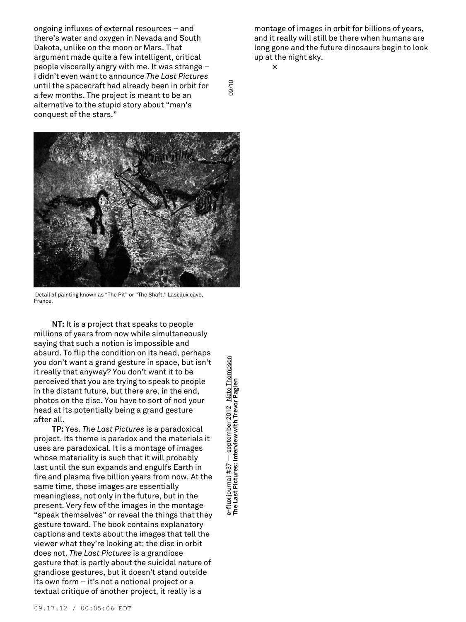ongoing influxes of external resources – and there's water and oxygen in Nevada and South Dakota, unlike on the moon or Mars. That argument made quite a few intelligent, critical people viscerally angry with me. It was strange – I didn't even want to announce *The Last Pictures* until the spacecraft had already been in orbit for a few months. The project is meant to be an alternative to the stupid story about "man's conquest of the stars."



Detail of painting known as "The Pit" or "The Shaft," Lascaux cave, France.

**NT:** It is a project that speaks to people millions of years from now while simultaneously saying that such a notion is impossible and absurd. To flip the condition on its head, perhaps you don't want a grand gesture in space, but isn't it really that anyway? You don't want it to be perceived that you are trying to speak to people in the distant future, but there are, in the end, photos on the disc. You have to sort of nod your head at its potentially being a grand gesture after all.

**TP:** Yes. *The Last Pictures* is a paradoxical project. Its theme is paradox and the materials it uses are paradoxical. It is a montage of images whose materiality is such that it will probably last until the sun expands and engulfs Earth in fire and plasma five billion years from now. At the same time, those images are essentially meaningless, not only in the future, but in the present. Very few of the images in the montage "speak themselves" or reveal the things that they gesture toward. The book contains explanatory captions and texts about the images that tell the viewer what they're looking at; the disc in orbit does not. *The Last Pictures* is a grandiose gesture that is partly about the suicidal nature of grandiose gestures, but it doesn't stand outside its own form – it's not a notional project or a textual critique of another project, it really is a

**e-flux** journal #37 — september 2012 Nato Thompson - september 2012 Nato Thompsor e-flux journal #37 — september 2012 <u>Nato Th</u><br>The Last Pictures: Interview with Trevor Paglen **The Last Pictures: Interview** montage of images in orbit for billions of years, and it really will still be there when humans are long gone and the future dinosaurs begin to look up at the night sky.